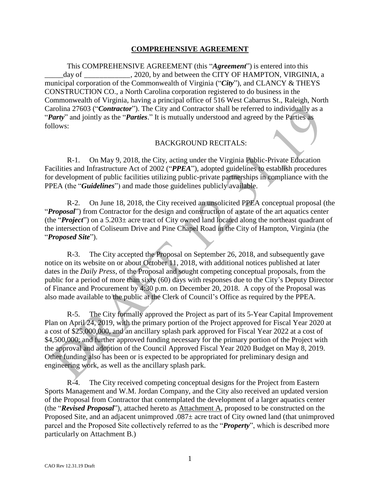#### **COMPREHENSIVE AGREEMENT**

This COMPREHENSIVE AGREEMENT (this "*Agreement*") is entered into this day of \_\_\_\_\_\_\_\_\_\_\_\_, 2020, by and between the CITY OF HAMPTON, VIRGINIA, a municipal corporation of the Commonwealth of Virginia ("*City*"), and CLANCY & THEYS CONSTRUCTION CO., a North Carolina corporation registered to do business in the Commonwealth of Virginia, having a principal office of 516 West Cabarrus St., Raleigh, North Carolina 27603 ("*Contractor*"). The City and Contractor shall be referred to individually as a "*Party*" and jointly as the "*Parties*." It is mutually understood and agreed by the Parties as follows:

#### BACKGROUND RECITALS:

R-1. On May 9, 2018, the City, acting under the Virginia Public-Private Education Facilities and Infrastructure Act of 2002 ("*PPEA*"), adopted guidelines to establish procedures for development of public facilities utilizing public-private partnerships in compliance with the PPEA (the "*Guidelines*") and made those guidelines publicly available.

R-2. On June 18, 2018, the City received an unsolicited PPEA conceptual proposal (the "*Proposal*") from Contractor for the design and construction of a state of the art aquatics center (the "*Project*") on a 5.203± acre tract of City owned land located along the northeast quadrant of the intersection of Coliseum Drive and Pine Chapel Road in the City of Hampton, Virginia (the "*Proposed Site*").

R-3. The City accepted the Proposal on September 26, 2018, and subsequently gave notice on its website on or about October 11, 2018, with additional notices published at later dates in the *Daily Press*, of the Proposal and sought competing conceptual proposals, from the public for a period of more than sixty (60) days with responses due to the City's Deputy Director of Finance and Procurement by 4:30 p.m. on December 20, 2018. A copy of the Proposal was also made available to the public at the Clerk of Council's Office as required by the PPEA.

R-5. The City formally approved the Project as part of its 5-Year Capital Improvement Plan on April 24, 2019, with the primary portion of the Project approved for Fiscal Year 2020 at a cost of \$25,000,000, and an ancillary splash park approved for Fiscal Year 2022 at a cost of \$4,500,000; and further approved funding necessary for the primary portion of the Project with the approval and adoption of the Council Approved Fiscal Year 2020 Budget on May 8, 2019. Other funding also has been or is expected to be appropriated for preliminary design and engineering work, as well as the ancillary splash park.

R-4. The City received competing conceptual designs for the Project from Eastern Sports Management and W.M. Jordan Company, and the City also received an updated version of the Proposal from Contractor that contemplated the development of a larger aquatics center (the "*Revised Proposal*"), attached hereto as Attachment A, proposed to be constructed on the Proposed Site, and an adjacent unimproved .087± acre tract of City owned land (that unimproved parcel and the Proposed Site collectively referred to as the "*Property*", which is described more particularly on Attachment B.)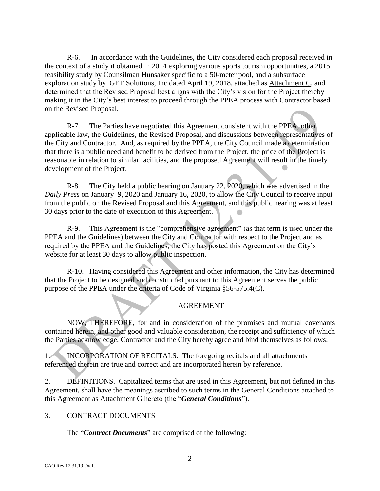R-6. In accordance with the Guidelines, the City considered each proposal received in the context of a study it obtained in 2014 exploring various sports tourism opportunities, a 2015 feasibility study by Counsilman Hunsaker specific to a 50-meter pool, and a subsurface exploration study by GET Solutions, Inc.dated April 19, 2018, attached as Attachment C, and determined that the Revised Proposal best aligns with the City's vision for the Project thereby making it in the City's best interest to proceed through the PPEA process with Contractor based on the Revised Proposal.

R-7. The Parties have negotiated this Agreement consistent with the PPEA, other applicable law, the Guidelines, the Revised Proposal, and discussions between representatives of the City and Contractor. And, as required by the PPEA, the City Council made a determination that there is a public need and benefit to be derived from the Project, the price of the Project is reasonable in relation to similar facilities, and the proposed Agreement will result in the timely development of the Project.

R-8. The City held a public hearing on January 22, 2020, which was advertised in the *Daily Press* on January 9, 2020 and January 16, 2020, to allow the City Council to receive input from the public on the Revised Proposal and this Agreement, and this public hearing was at least 30 days prior to the date of execution of this Agreement.

R-9. This Agreement is the "comprehensive agreement" (as that term is used under the PPEA and the Guidelines) between the City and Contractor with respect to the Project and as required by the PPEA and the Guidelines, the City has posted this Agreement on the City's website for at least 30 days to allow public inspection.

R-10. Having considered this Agreement and other information, the City has determined that the Project to be designed and constructed pursuant to this Agreement serves the public purpose of the PPEA under the criteria of Code of Virginia §56-575.4(C).

### AGREEMENT

NOW, THEREFORE, for and in consideration of the promises and mutual covenants contained herein, and other good and valuable consideration, the receipt and sufficiency of which the Parties acknowledge, Contractor and the City hereby agree and bind themselves as follows:

1. INCORPORATION OF RECITALS. The foregoing recitals and all attachments referenced therein are true and correct and are incorporated herein by reference.

2. **DEFINITIONS.** Capitalized terms that are used in this Agreement, but not defined in this Agreement, shall have the meanings ascribed to such terms in the General Conditions attached to this Agreement as Attachment G hereto (the "*General Conditions*").

### 3. CONTRACT DOCUMENTS

The "*Contract Documents*" are comprised of the following: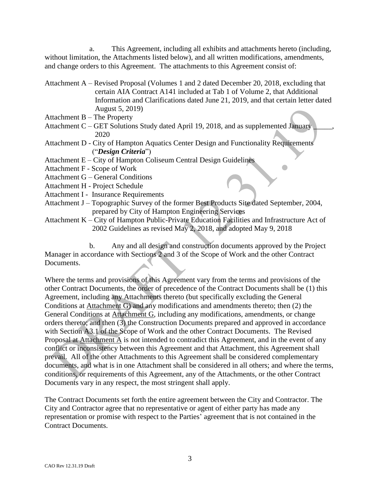a. This Agreement, including all exhibits and attachments hereto (including, without limitation, the Attachments listed below), and all written modifications, amendments, and change orders to this Agreement. The attachments to this Agreement consist of:

- Attachment A Revised Proposal (Volumes 1 and 2 dated December 20, 2018, excluding that certain AIA Contract A141 included at Tab 1 of Volume 2, that Additional Information and Clarifications dated June 21, 2019, and that certain letter dated August 5, 2019)
- Attachment B The Property
- Attachment C GET Solutions Study dated April 19, 2018, and as supplemented January 2020
- Attachment D City of Hampton Aquatics Center Design and Functionality Requirements ("*Design Criteria*")
- Attachment E City of Hampton Coliseum Central Design Guidelines
- Attachment F Scope of Work
- Attachment G General Conditions
- Attachment H Project Schedule
- Attachment I Insurance Requirements
- Attachment J Topographic Survey of the former Best Products Site dated September, 2004, prepared by City of Hampton Engineering Services
- Attachment K City of Hampton Public-Private Education Facilities and Infrastructure Act of 2002 Guidelines as revised May 2, 2018, and adopted May 9, 2018

b. Any and all design and construction documents approved by the Project Manager in accordance with Sections 2 and 3 of the Scope of Work and the other Contract Documents.

Where the terms and provisions of this Agreement vary from the terms and provisions of the other Contract Documents, the order of precedence of the Contract Documents shall be (1) this Agreement, including any Attachments thereto (but specifically excluding the General Conditions at Attachment G) and any modifications and amendments thereto; then (2) the General Conditions at Attachment G, including any modifications, amendments, or change orders thereto; and then (3) the Construction Documents prepared and approved in accordance with Section A3.1 of the Scope of Work and the other Contract Documents. The Revised Proposal at Attachment A is not intended to contradict this Agreement, and in the event of any conflict or inconsistency between this Agreement and that Attachment, this Agreement shall prevail. All of the other Attachments to this Agreement shall be considered complementary documents, and what is in one Attachment shall be considered in all others; and where the terms, conditions, or requirements of this Agreement, any of the Attachments, or the other Contract Documents vary in any respect, the most stringent shall apply.

The Contract Documents set forth the entire agreement between the City and Contractor. The City and Contractor agree that no representative or agent of either party has made any representation or promise with respect to the Parties' agreement that is not contained in the Contract Documents.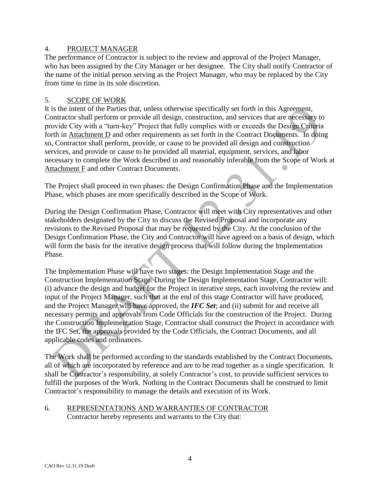#### 4. PROJECT MANAGER

The performance of Contractor is subject to the review and approval of the Project Manager, who has been assigned by the City Manager or her designee. The City shall notify Contractor of the name of the initial person serving as the Project Manager, who may be replaced by the City from time to time in its sole discretion.

#### 5. SCOPE OF WORK

It is the intent of the Parties that, unless otherwise specifically set forth in this Agreement, Contractor shall perform or provide all design, construction, and services that are necessary to provide City with a "turn-key" Project that fully complies with or exceeds the Design Criteria forth in Attachment D and other requirements as set forth in the Contract Documents. In doing so, Contractor shall perform, provide, or cause to be provided all design and construction services, and provide or cause to be provided all material, equipment, services, and labor necessary to complete the Work described in and reasonably inferable from the Scope of Work at Attachment F and other Contract Documents.

The Project shall proceed in two phases: the Design Confirmation Phase and the Implementation Phase, which phases are more specifically described in the Scope of Work.

During the Design Confirmation Phase, Contractor will meet with City representatives and other stakeholders designated by the City to discuss the Revised Proposal and incorporate any revisions to the Revised Proposal that may be requested by the City. At the conclusion of the Design Confirmation Phase, the City and Contractor will have agreed on a basis of design, which will form the basis for the iterative design process that will follow during the Implementation Phase.

The Implementation Phase will have two stages: the Design Implementation Stage and the Construction Implementation Stage. During the Design Implementation Stage, Contractor will: (i) advance the design and budget for the Project in iterative steps, each involving the review and input of the Project Manager, such that at the end of this stage Contractor will have produced, and the Project Manager will have approved, the *IFC Set*; and (ii) submit for and receive all necessary permits and approvals from Code Officials for the construction of the Project. During the Construction Implementation Stage, Contractor shall construct the Project in accordance with the IFC Set, the approvals provided by the Code Officials, the Contract Documents, and all applicable codes and ordinances.

The Work shall be performed according to the standards established by the Contract Documents, all of which are incorporated by reference and are to be read together as a single specification. It shall be Contractor's responsibility, at solely Contractor's cost, to provide sufficient services to fulfill the purposes of the Work. Nothing in the Contract Documents shall be construed to limit Contractor's responsibility to manage the details and execution of its Work.

#### 6. REPRESENTATIONS AND WARRANTIES OF CONTRACTOR Contractor hereby represents and warrants to the City that: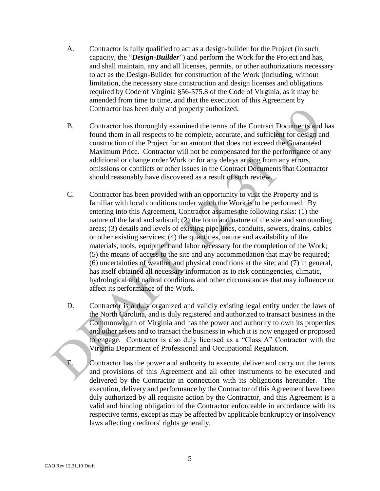- A. Contractor is fully qualified to act as a design-builder for the Project (in such capacity, the "*Design-Builder*") and perform the Work for the Project and has, and shall maintain, any and all licenses, permits, or other authorizations necessary to act as the Design-Builder for construction of the Work (including, without limitation, the necessary state construction and design licenses and obligations required by Code of Virginia §56-575.8 of the Code of Virginia, as it may be amended from time to time, and that the execution of this Agreement by Contractor has been duly and properly authorized.
- B. Contractor has thoroughly examined the terms of the Contract Documents and has found them in all respects to be complete, accurate, and sufficient for design and construction of the Project for an amount that does not exceed the Guaranteed Maximum Price. Contractor will not be compensated for the performance of any additional or change order Work or for any delays arising from any errors, omissions or conflicts or other issues in the Contract Documents that Contractor should reasonably have discovered as a result of such review.
- C. Contractor has been provided with an opportunity to visit the Property and is familiar with local conditions under which the Work is to be performed. By entering into this Agreement, Contractor assumes the following risks: (1) the nature of the land and subsoil; (2) the form and nature of the site and surrounding areas; (3) details and levels of existing pipe lines, conduits, sewers, drains, cables or other existing services; (4) the quantities, nature and availability of the materials, tools, equipment and labor necessary for the completion of the Work; (5) the means of access to the site and any accommodation that may be required; (6) uncertainties of weather and physical conditions at the site; and (7) in general, has itself obtained all necessary information as to risk contingencies, climatic, hydrological and natural conditions and other circumstances that may influence or affect its performance of the Work.
- D. Contractor is a duly organized and validly existing legal entity under the laws of the North Carolina, and is duly registered and authorized to transact business in the Commonwealth of Virginia and has the power and authority to own its properties and other assets and to transact the business in which it is now engaged or proposed to engage. Contractor is also duly licensed as a "Class A" Contractor with the Virginia Department of Professional and Occupational Regulation.

E. Contractor has the power and authority to execute, deliver and carry out the terms and provisions of this Agreement and all other instruments to be executed and delivered by the Contractor in connection with its obligations hereunder. The execution, delivery and performance by the Contractor of this Agreement have been duly authorized by all requisite action by the Contractor, and this Agreement is a valid and binding obligation of the Contractor enforceable in accordance with its respective terms, except as may be affected by applicable bankruptcy or insolvency laws affecting creditors' rights generally.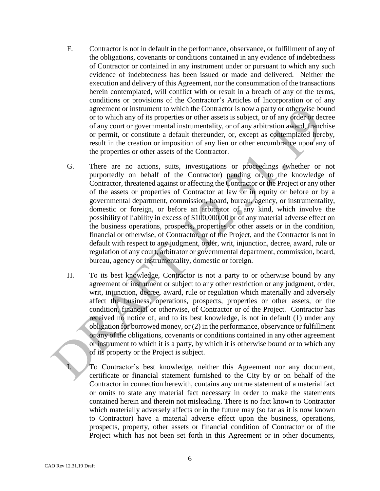- F. Contractor is not in default in the performance, observance, or fulfillment of any of the obligations, covenants or conditions contained in any evidence of indebtedness of Contractor or contained in any instrument under or pursuant to which any such evidence of indebtedness has been issued or made and delivered. Neither the execution and delivery of this Agreement, nor the consummation of the transactions herein contemplated, will conflict with or result in a breach of any of the terms, conditions or provisions of the Contractor's Articles of Incorporation or of any agreement or instrument to which the Contractor is now a party or otherwise bound or to which any of its properties or other assets is subject, or of any order or decree of any court or governmental instrumentality, or of any arbitration award, franchise or permit, or constitute a default thereunder, or, except as contemplated hereby, result in the creation or imposition of any lien or other encumbrance upon any of the properties or other assets of the Contractor.
- G. There are no actions, suits, investigations or proceedings (whether or not purportedly on behalf of the Contractor) pending or, to the knowledge of Contractor, threatened against or affecting the Contractor or the Project or any other of the assets or properties of Contractor at law or in equity or before or by a governmental department, commission, board, bureau, agency, or instrumentality, domestic or foreign, or before an arbitrator of any kind, which involve the possibility of liability in excess of \$100,000.00 or of any material adverse effect on the business operations, prospects, properties or other assets or in the condition, financial or otherwise, of Contractor, or of the Project, and the Contractor is not in default with respect to any judgment, order, writ, injunction, decree, award, rule or regulation of any court, arbitrator or governmental department, commission, board, bureau, agency or instrumentality, domestic or foreign.
- H. To its best knowledge, Contractor is not a party to or otherwise bound by any agreement or instrument or subject to any other restriction or any judgment, order, writ, injunction, decree, award, rule or regulation which materially and adversely affect the business, operations, prospects, properties or other assets, or the condition, financial or otherwise, of Contractor or of the Project. Contractor has received no notice of, and to its best knowledge, is not in default (1) under any obligation for borrowed money, or (2) in the performance, observance or fulfillment or any of the obligations, covenants or conditions contained in any other agreement or instrument to which it is a party, by which it is otherwise bound or to which any of its property or the Project is subject.

To Contractor's best knowledge, neither this Agreement nor any document, certificate or financial statement furnished to the City by or on behalf of the Contractor in connection herewith, contains any untrue statement of a material fact or omits to state any material fact necessary in order to make the statements contained herein and therein not misleading. There is no fact known to Contractor which materially adversely affects or in the future may (so far as it is now known to Contractor) have a material adverse effect upon the business, operations, prospects, property, other assets or financial condition of Contractor or of the Project which has not been set forth in this Agreement or in other documents,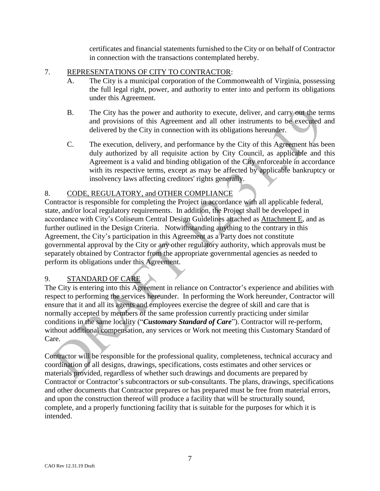certificates and financial statements furnished to the City or on behalf of Contractor in connection with the transactions contemplated hereby.

#### 7. REPRESENTATIONS OF CITY TO CONTRACTOR:

- A. The City is a municipal corporation of the Commonwealth of Virginia, possessing the full legal right, power, and authority to enter into and perform its obligations under this Agreement.
- B. The City has the power and authority to execute, deliver, and carry out the terms and provisions of this Agreement and all other instruments to be executed and delivered by the City in connection with its obligations hereunder.
- C. The execution, delivery, and performance by the City of this Agreement has been duly authorized by all requisite action by City Council, as applicable and this Agreement is a valid and binding obligation of the City enforceable in accordance with its respective terms, except as may be affected by applicable bankruptcy or insolvency laws affecting creditors' rights generally.

### 8. CODE, REGULATORY, and OTHER COMPLIANCE

Contractor is responsible for completing the Project in accordance with all applicable federal, state, and/or local regulatory requirements. In addition, the Project shall be developed in accordance with City's Coliseum Central Design Guidelines attached as Attachment E, and as further outlined in the Design Criteria. Notwithstanding anything to the contrary in this Agreement, the City's participation in this Agreement as a Party does not constitute governmental approval by the City or any other regulatory authority, which approvals must be separately obtained by Contractor from the appropriate governmental agencies as needed to perform its obligations under this Agreement.

### 9. STANDARD OF CARE

The City is entering into this Agreement in reliance on Contractor's experience and abilities with respect to performing the services hereunder. In performing the Work hereunder, Contractor will ensure that it and all its agents and employees exercise the degree of skill and care that is normally accepted by members of the same profession currently practicing under similar conditions in the same locality ("*Customary Standard of Care*"). Contractor will re-perform, without additional compensation, any services or Work not meeting this Customary Standard of Care.

Contractor will be responsible for the professional quality, completeness, technical accuracy and coordination of all designs, drawings, specifications, costs estimates and other services or materials provided, regardless of whether such drawings and documents are prepared by Contractor or Contractor's subcontractors or sub-consultants. The plans, drawings, specifications and other documents that Contractor prepares or has prepared must be free from material errors, and upon the construction thereof will produce a facility that will be structurally sound, complete, and a properly functioning facility that is suitable for the purposes for which it is intended.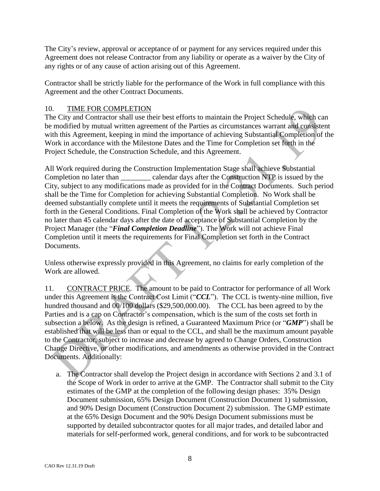The City's review, approval or acceptance of or payment for any services required under this Agreement does not release Contractor from any liability or operate as a waiver by the City of any rights or of any cause of action arising out of this Agreement.

Contractor shall be strictly liable for the performance of the Work in full compliance with this Agreement and the other Contract Documents.

## 10. TIME FOR COMPLETION

The City and Contractor shall use their best efforts to maintain the Project Schedule, which can be modified by mutual written agreement of the Parties as circumstances warrant and consistent with this Agreement, keeping in mind the importance of achieving Substantial Completion of the Work in accordance with the Milestone Dates and the Time for Completion set forth in the Project Schedule, the Construction Schedule, and this Agreement.

All Work required during the Construction Implementation Stage shall achieve Substantial Completion no later than calendar days after the Construction NTP is issued by the City, subject to any modifications made as provided for in the Contract Documents. Such period shall be the Time for Completion for achieving Substantial Completion. No Work shall be deemed substantially complete until it meets the requirements of Substantial Completion set forth in the General Conditions. Final Completion of the Work shall be achieved by Contractor no later than 45 calendar days after the date of acceptance of Substantial Completion by the Project Manager (the "*Final Completion Deadline*"). The Work will not achieve Final Completion until it meets the requirements for Final Completion set forth in the Contract Documents.

Unless otherwise expressly provided in this Agreement, no claims for early completion of the Work are allowed.

11. CONTRACT PRICE. The amount to be paid to Contractor for performance of all Work under this Agreement is the Contract Cost Limit ("*CCL*"). The CCL is twenty-nine million, five hundred thousand and  $00/100$  dollars (\$29,500,000.00). The CCL has been agreed to by the Parties and is a cap on Contractor's compensation, which is the sum of the costs set forth in subsection a below. As the design is refined, a Guaranteed Maximum Price (or "*GMP*") shall be established that will be less than or equal to the CCL, and shall be the maximum amount payable to the Contractor, subject to increase and decrease by agreed to Change Orders, Construction Change Directive, or other modifications, and amendments as otherwise provided in the Contract Documents. Additionally:

a. The Contractor shall develop the Project design in accordance with Sections 2 and 3.1 of the Scope of Work in order to arrive at the GMP. The Contractor shall submit to the City estimates of the GMP at the completion of the following design phases: 35% Design Document submission, 65% Design Document (Construction Document 1) submission, and 90% Design Document (Construction Document 2) submission. The GMP estimate at the 65% Design Document and the 90% Design Document submissions must be supported by detailed subcontractor quotes for all major trades, and detailed labor and materials for self-performed work, general conditions, and for work to be subcontracted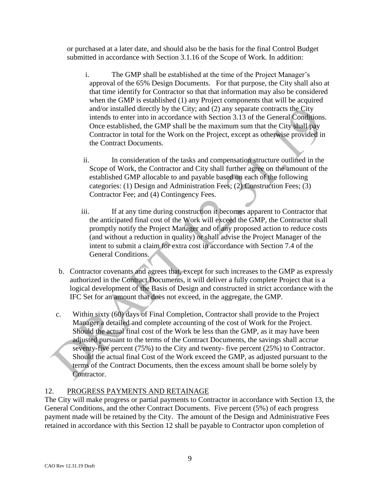or purchased at a later date, and should also be the basis for the final Control Budget submitted in accordance with Section 3.1.16 of the Scope of Work. In addition:

- i. The GMP shall be established at the time of the Project Manager's approval of the 65% Design Documents. For that purpose, the City shall also at that time identify for Contractor so that that information may also be considered when the GMP is established (1) any Project components that will be acquired and/or installed directly by the City; and (2) any separate contracts the City intends to enter into in accordance with Section 3.13 of the General Conditions. Once established, the GMP shall be the maximum sum that the City shall pay Contractor in total for the Work on the Project, except as otherwise provided in the Contract Documents.
- ii. In consideration of the tasks and compensation structure outlined in the Scope of Work, the Contractor and City shall further agree on the amount of the established GMP allocable to and payable based on each of the following categories: (1) Design and Administration Fees; (2) Construction Fees; (3) Contractor Fee; and (4) Contingency Fees.
- iii. If at any time during construction it becomes apparent to Contractor that the anticipated final cost of the Work will exceed the GMP, the Contractor shall promptly notify the Project Manager and of any proposed action to reduce costs (and without a reduction in quality) or shall advise the Project Manager of the intent to submit a claim for extra cost in accordance with Section 7.4 of the General Conditions.
- b. Contractor covenants and agrees that, except for such increases to the GMP as expressly authorized in the Contract Documents, it will deliver a fully complete Project that is a logical development of the Basis of Design and constructed in strict accordance with the IFC Set for an amount that does not exceed, in the aggregate, the GMP.
- c. Within sixty (60) days of Final Completion, Contractor shall provide to the Project Manager a detailed and complete accounting of the cost of Work for the Project. Should the actual final cost of the Work be less than the GMP, as it may have been adjusted pursuant to the terms of the Contract Documents, the savings shall accrue seventy-five percent (75%) to the City and twenty- five percent (25%) to Contractor. Should the actual final Cost of the Work exceed the GMP, as adjusted pursuant to the terms of the Contract Documents, then the excess amount shall be borne solely by Contractor.

# 12. PROGRESS PAYMENTS AND RETAINAGE

The City will make progress or partial payments to Contractor in accordance with Section 13, the General Conditions, and the other Contract Documents. Five percent (5%) of each progress payment made will be retained by the City. The amount of the Design and Administrative Fees retained in accordance with this Section 12 shall be payable to Contractor upon completion of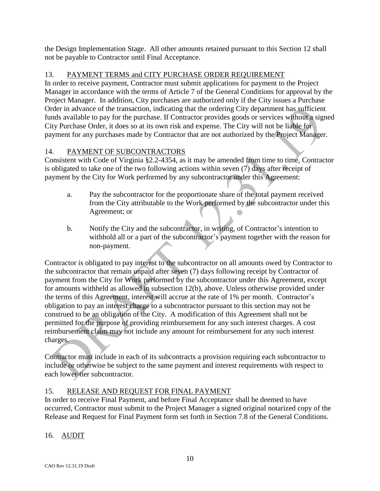the Design Implementation Stage. All other amounts retained pursuant to this Section 12 shall not be payable to Contractor until Final Acceptance.

## 13. PAYMENT TERMS and CITY PURCHASE ORDER REQUIREMENT

In order to receive payment, Contractor must submit applications for payment to the Project Manager in accordance with the terms of Article 7 of the General Conditions for approval by the Project Manager. In addition, City purchases are authorized only if the City issues a Purchase Order in advance of the transaction, indicating that the ordering City department has sufficient funds available to pay for the purchase. If Contractor provides goods or services without a signed City Purchase Order, it does so at its own risk and expense. The City will not be liable for payment for any purchases made by Contractor that are not authorized by the Project Manager.

# 14. PAYMENT OF SUBCONTRACTORS

Consistent with Code of Virginia §2.2-4354, as it may be amended from time to time, Contractor is obligated to take one of the two following actions within seven  $(7)$  days after receipt of payment by the City for Work performed by any subcontractor under this Agreement:

- a. Pay the subcontractor for the proportionate share of the total payment received from the City attributable to the Work performed by the subcontractor under this Agreement; or
- b. Notify the City and the subcontractor, in writing, of Contractor's intention to withhold all or a part of the subcontractor's payment together with the reason for non-payment.

Contractor is obligated to pay interest to the subcontractor on all amounts owed by Contractor to the subcontractor that remain unpaid after seven (7) days following receipt by Contractor of payment from the City for Work performed by the subcontractor under this Agreement, except for amounts withheld as allowed in subsection 12(b), above. Unless otherwise provided under the terms of this Agreement, interest will accrue at the rate of 1% per month. Contractor's obligation to pay an interest charge to a subcontractor pursuant to this section may not be construed to be an obligation of the City. A modification of this Agreement shall not be permitted for the purpose of providing reimbursement for any such interest charges. A cost reimbursement claim may not include any amount for reimbursement for any such interest charges.

Contractor must include in each of its subcontracts a provision requiring each subcontractor to include or otherwise be subject to the same payment and interest requirements with respect to each lower-tier subcontractor.

# 15. RELEASE AND REQUEST FOR FINAL PAYMENT

In order to receive Final Payment, and before Final Acceptance shall be deemed to have occurred, Contractor must submit to the Project Manager a signed original notarized copy of the Release and Request for Final Payment form set forth in Section 7.8 of the General Conditions.

# 16. AUDIT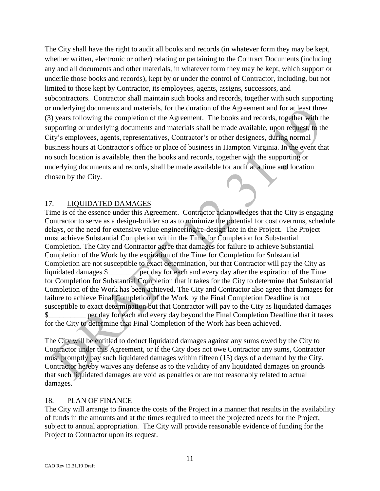The City shall have the right to audit all books and records (in whatever form they may be kept, whether written, electronic or other) relating or pertaining to the Contract Documents (including any and all documents and other materials, in whatever form they may be kept, which support or underlie those books and records), kept by or under the control of Contractor, including, but not limited to those kept by Contractor, its employees, agents, assigns, successors, and subcontractors. Contractor shall maintain such books and records, together with such supporting or underlying documents and materials, for the duration of the Agreement and for at least three (3) years following the completion of the Agreement. The books and records, together with the supporting or underlying documents and materials shall be made available, upon request, to the City's employees, agents, representatives, Contractor's or other designees, during normal business hours at Contractor's office or place of business in Hampton Virginia. In the event that no such location is available, then the books and records, together with the supporting or underlying documents and records, shall be made available for audit at a time and location chosen by the City.

#### 17. LIQUIDATED DAMAGES

Time is of the essence under this Agreement. Contractor acknowledges that the City is engaging Contractor to serve as a design-builder so as to minimize the potential for cost overruns, schedule delays, or the need for extensive value engineering/re-design late in the Project. The Project must achieve Substantial Completion within the Time for Completion for Substantial Completion. The City and Contractor agree that damages for failure to achieve Substantial Completion of the Work by the expiration of the Time for Completion for Substantial Completion are not susceptible to exact determination, but that Contractor will pay the City as liquidated damages \$ \_\_\_\_\_\_ per day for each and every day after the expiration of the Time for Completion for Substantial Completion that it takes for the City to determine that Substantial Completion of the Work has been achieved. The City and Contractor also agree that damages for failure to achieve Final Completion of the Work by the Final Completion Deadline is not susceptible to exact determination but that Contractor will pay to the City as liquidated damages \$\_\_\_\_\_\_\_\_\_\_ per day for each and every day beyond the Final Completion Deadline that it takes for the City to determine that Final Completion of the Work has been achieved.

The City will be entitled to deduct liquidated damages against any sums owed by the City to Contractor under this Agreement, or if the City does not owe Contractor any sums, Contractor must promptly pay such liquidated damages within fifteen (15) days of a demand by the City. Contractor hereby waives any defense as to the validity of any liquidated damages on grounds that such liquidated damages are void as penalties or are not reasonably related to actual damages.

#### 18. PLAN OF FINANCE

The City will arrange to finance the costs of the Project in a manner that results in the availability of funds in the amounts and at the times required to meet the projected needs for the Project, subject to annual appropriation. The City will provide reasonable evidence of funding for the Project to Contractor upon its request.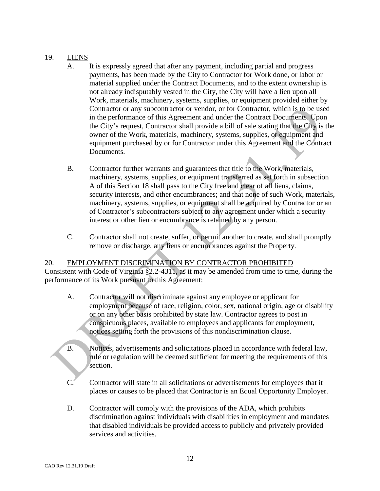### 19. LIENS

- A. It is expressly agreed that after any payment, including partial and progress payments, has been made by the City to Contractor for Work done, or labor or material supplied under the Contract Documents, and to the extent ownership is not already indisputably vested in the City, the City will have a lien upon all Work, materials, machinery, systems, supplies, or equipment provided either by Contractor or any subcontractor or vendor, or for Contractor, which is to be used in the performance of this Agreement and under the Contract Documents. Upon the City's request, Contractor shall provide a bill of sale stating that the City is the owner of the Work, materials, machinery, systems, supplies, or equipment and equipment purchased by or for Contractor under this Agreement and the Contract Documents.
- B. Contractor further warrants and guarantees that title to the Work, materials, machinery, systems, supplies, or equipment transferred as set forth in subsection A of this Section 18 shall pass to the City free and clear of all liens, claims, security interests, and other encumbrances; and that none of such Work, materials, machinery, systems, supplies, or equipment shall be acquired by Contractor or an of Contractor's subcontractors subject to any agreement under which a security interest or other lien or encumbrance is retained by any person.
- C. Contractor shall not create, suffer, or permit another to create, and shall promptly remove or discharge, any liens or encumbrances against the Property.

# 20. EMPLOYMENT DISCRIMINATION BY CONTRACTOR PROHIBITED

Consistent with Code of Virginia §2.2-4311, as it may be amended from time to time, during the performance of its Work pursuant to this Agreement:

- A. Contractor will not discriminate against any employee or applicant for employment because of race, religion, color, sex, national origin, age or disability or on any other basis prohibited by state law. Contractor agrees to post in conspicuous places, available to employees and applicants for employment, notices setting forth the provisions of this nondiscrimination clause.
- B. Notices, advertisements and solicitations placed in accordance with federal law, rule or regulation will be deemed sufficient for meeting the requirements of this section.
- C. Contractor will state in all solicitations or advertisements for employees that it places or causes to be placed that Contractor is an Equal Opportunity Employer.
- D. Contractor will comply with the provisions of the ADA, which prohibits discrimination against individuals with disabilities in employment and mandates that disabled individuals be provided access to publicly and privately provided services and activities.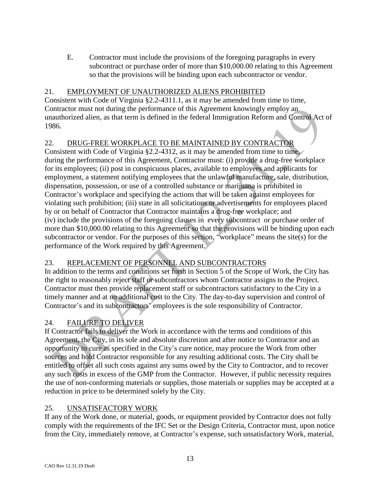E. Contractor must include the provisions of the foregoing paragraphs in every subcontract or purchase order of more than \$10,000.00 relating to this Agreement so that the provisions will be binding upon each subcontractor or vendor.

# 21. EMPLOYMENT OF UNAUTHORIZED ALIENS PROHIBITED

Consistent with Code of Virginia §2.2-4311.1, as it may be amended from time to time, Contractor must not during the performance of this Agreement knowingly employ an unauthorized alien, as that term is defined in the federal Immigration Reform and Control Act of 1986.

### 22. DRUG-FREE WORKPLACE TO BE MAINTAINED BY CONTRACTOR

Consistent with Code of Virginia §2.2-4312, as it may be amended from time to time. during the performance of this Agreement, Contractor must: (i) provide a drug-free workplace for its employees; (ii) post in conspicuous places, available to employees and applicants for employment, a statement notifying employees that the unlawful manufacture, sale, distribution, dispensation, possession, or use of a controlled substance or marijuana is prohibited in Contractor's workplace and specifying the actions that will be taken against employees for violating such prohibition; (iii) state in all solicitations or advertisements for employees placed by or on behalf of Contractor that Contractor maintains a drug-free workplace; and (iv) include the provisions of the foregoing clauses in every subcontract or purchase order of more than \$10,000.00 relating to this Agreement so that the provisions will be binding upon each subcontractor or vendor. For the purposes of this section, "workplace" means the site(s) for the performance of the Work required by this Agreement.

# 23. REPLACEMENT OF PERSONNEL AND SUBCONTRACTORS

In addition to the terms and conditions set forth in Section 5 of the Scope of Work, the City has the right to reasonably reject staff or subcontractors whom Contractor assigns to the Project. Contractor must then provide replacement staff or subcontractors satisfactory to the City in a timely manner and at no additional cost to the City. The day-to-day supervision and control of Contractor's and its subcontractors' employees is the sole responsibility of Contractor.

# 24. FAILURE TO DELIVER

If Contractor fails to deliver the Work in accordance with the terms and conditions of this Agreement, the City, in its sole and absolute discretion and after notice to Contractor and an opportunity to cure as specified in the City's cure notice, may procure the Work from other sources and hold Contractor responsible for any resulting additional costs. The City shall be entitled to offset all such costs against any sums owed by the City to Contractor, and to recover any such costs in excess of the GMP from the Contractor. However, if public necessity requires the use of non-conforming materials or supplies, those materials or supplies may be accepted at a reduction in price to be determined solely by the City.

### 25. UNSATISFACTORY WORK

If any of the Work done, or material, goods, or equipment provided by Contractor does not fully comply with the requirements of the IFC Set or the Design Criteria, Contractor must, upon notice from the City, immediately remove, at Contractor's expense, such unsatisfactory Work, material,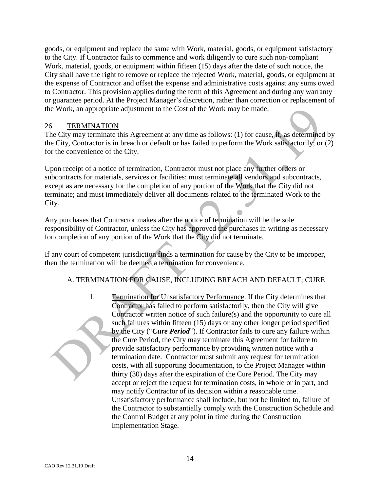goods, or equipment and replace the same with Work, material, goods, or equipment satisfactory to the City. If Contractor fails to commence and work diligently to cure such non-compliant Work, material, goods, or equipment within fifteen (15) days after the date of such notice, the City shall have the right to remove or replace the rejected Work, material, goods, or equipment at the expense of Contractor and offset the expense and administrative costs against any sums owed to Contractor. This provision applies during the term of this Agreement and during any warranty or guarantee period. At the Project Manager's discretion, rather than correction or replacement of the Work, an appropriate adjustment to the Cost of the Work may be made.

#### 26. TERMINATION

The City may terminate this Agreement at any time as follows: (1) for cause, if, as determined by the City, Contractor is in breach or default or has failed to perform the Work satisfactorily; or (2) for the convenience of the City.

Upon receipt of a notice of termination, Contractor must not place any further orders or subcontracts for materials, services or facilities; must terminate all vendors and subcontracts, except as are necessary for the completion of any portion of the Work that the City did not terminate; and must immediately deliver all documents related to the terminated Work to the City.

Any purchases that Contractor makes after the notice of termination will be the sole responsibility of Contractor, unless the City has approved the purchases in writing as necessary for completion of any portion of the Work that the City did not terminate.

If any court of competent jurisdiction finds a termination for cause by the City to be improper, then the termination will be deemed a termination for convenience.

### A. TERMINATION FOR CAUSE, INCLUDING BREACH AND DEFAULT; CURE

1. Termination for Unsatisfactory Performance. If the City determines that Contractor has failed to perform satisfactorily, then the City will give Contractor written notice of such failure(s) and the opportunity to cure all such failures within fifteen (15) days or any other longer period specified by the City ("*Cure Period*"). If Contractor fails to cure any failure within the Cure Period, the City may terminate this Agreement for failure to provide satisfactory performance by providing written notice with a termination date. Contractor must submit any request for termination costs, with all supporting documentation, to the Project Manager within thirty (30) days after the expiration of the Cure Period. The City may accept or reject the request for termination costs, in whole or in part, and may notify Contractor of its decision within a reasonable time. Unsatisfactory performance shall include, but not be limited to, failure of the Contractor to substantially comply with the Construction Schedule and the Control Budget at any point in time during the Construction Implementation Stage.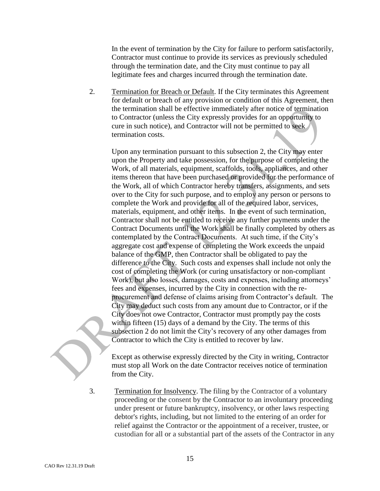In the event of termination by the City for failure to perform satisfactorily, Contractor must continue to provide its services as previously scheduled through the termination date, and the City must continue to pay all legitimate fees and charges incurred through the termination date.

2. Termination for Breach or Default. If the City terminates this Agreement for default or breach of any provision or condition of this Agreement, then the termination shall be effective immediately after notice of termination to Contractor (unless the City expressly provides for an opportunity to cure in such notice), and Contractor will not be permitted to seek termination costs.

Upon any termination pursuant to this subsection 2, the City may enter upon the Property and take possession, for the purpose of completing the Work, of all materials, equipment, scaffolds, tools, appliances, and other items thereon that have been purchased or provided for the performance of the Work, all of which Contractor hereby transfers, assignments, and sets over to the City for such purpose, and to employ any person or persons to complete the Work and provide for all of the required labor, services, materials, equipment, and other items. In the event of such termination, Contractor shall not be entitled to receive any further payments under the Contract Documents until the Work shall be finally completed by others as contemplated by the Contract Documents. At such time, if the City's aggregate cost and expense of completing the Work exceeds the unpaid balance of the GMP, then Contractor shall be obligated to pay the difference to the City. Such costs and expenses shall include not only the cost of completing the Work (or curing unsatisfactory or non-compliant Work), but also losses, damages, costs and expenses, including attorneys' fees and expenses, incurred by the City in connection with the reprocurement and defense of claims arising from Contractor's default. The City may deduct such costs from any amount due to Contractor, or if the City does not owe Contractor, Contractor must promptly pay the costs within fifteen (15) days of a demand by the City. The terms of this subsection 2 do not limit the City's recovery of any other damages from Contractor to which the City is entitled to recover by law.

Except as otherwise expressly directed by the City in writing, Contractor must stop all Work on the date Contractor receives notice of termination from the City.

3. Termination for Insolvency. The filing by the Contractor of a voluntary proceeding or the consent by the Contractor to an involuntary proceeding under present or future bankruptcy, insolvency, or other laws respecting debtor's rights, including, but not limited to the entering of an order for relief against the Contractor or the appointment of a receiver, trustee, or custodian for all or a substantial part of the assets of the Contractor in any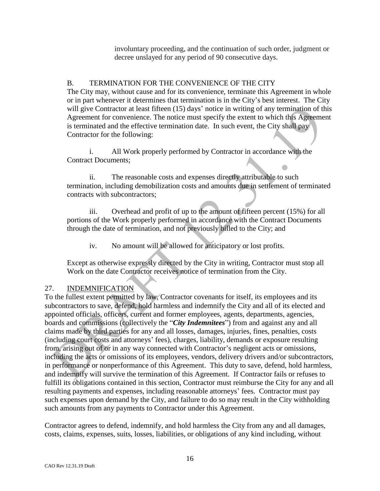involuntary proceeding, and the continuation of such order, judgment or decree unslayed for any period of 90 consecutive days.

### B. TERMINATION FOR THE CONVENIENCE OF THE CITY

The City may, without cause and for its convenience, terminate this Agreement in whole or in part whenever it determines that termination is in the City's best interest. The City will give Contractor at least fifteen (15) days' notice in writing of any termination of this Agreement for convenience. The notice must specify the extent to which this Agreement is terminated and the effective termination date. In such event, the City shall pay Contractor for the following:

i. All Work properly performed by Contractor in accordance with the Contract Documents;

ii. The reasonable costs and expenses directly attributable to such termination, including demobilization costs and amounts due in settlement of terminated contracts with subcontractors;

iii. Overhead and profit of up to the amount of fifteen percent (15%) for all portions of the Work properly performed in accordance with the Contract Documents through the date of termination, and not previously billed to the City; and

iv. No amount will be allowed for anticipatory or lost profits.

Except as otherwise expressly directed by the City in writing, Contractor must stop all Work on the date Contractor receives notice of termination from the City.

# 27. INDEMNIFICATION

To the fullest extent permitted by law, Contractor covenants for itself, its employees and its subcontractors to save, defend, hold harmless and indemnify the City and all of its elected and appointed officials, officers, current and former employees, agents, departments, agencies, boards and commissions (collectively the "*City Indemnitees*") from and against any and all claims made by third parties for any and all losses, damages, injuries, fines, penalties, costs (including court costs and attorneys' fees), charges, liability, demands or exposure resulting from, arising out of or in any way connected with Contractor's negligent acts or omissions, including the acts or omissions of its employees, vendors, delivery drivers and/or subcontractors, in performance or nonperformance of this Agreement. This duty to save, defend, hold harmless, and indemnify will survive the termination of this Agreement. If Contractor fails or refuses to fulfill its obligations contained in this section, Contractor must reimburse the City for any and all resulting payments and expenses, including reasonable attorneys' fees. Contractor must pay such expenses upon demand by the City, and failure to do so may result in the City withholding such amounts from any payments to Contractor under this Agreement.

Contractor agrees to defend, indemnify, and hold harmless the City from any and all damages, costs, claims, expenses, suits, losses, liabilities, or obligations of any kind including, without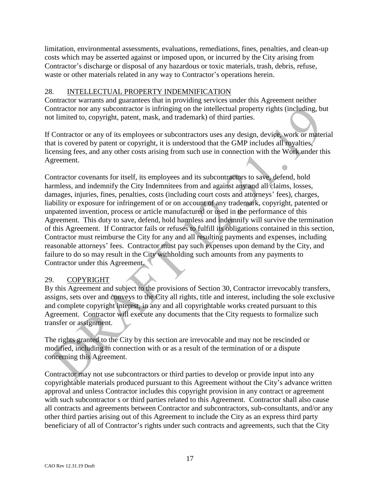limitation, environmental assessments, evaluations, remediations, fines, penalties, and clean-up costs which may be asserted against or imposed upon, or incurred by the City arising from Contractor's discharge or disposal of any hazardous or toxic materials, trash, debris, refuse, waste or other materials related in any way to Contractor's operations herein.

### 28. INTELLECTUAL PROPERTY INDEMNIFICATION

Contractor warrants and guarantees that in providing services under this Agreement neither Contractor nor any subcontractor is infringing on the intellectual property rights (including, but not limited to, copyright, patent, mask, and trademark) of third parties.

If Contractor or any of its employees or subcontractors uses any design, device, work or material that is covered by patent or copyright, it is understood that the GMP includes all royalties, licensing fees, and any other costs arising from such use in connection with the Work under this Agreement.

Contractor covenants for itself, its employees and its subcontractors to save, defend, hold harmless, and indemnify the City Indemnitees from and against any and all claims, losses, damages, injuries, fines, penalties, costs (including court costs and attorneys' fees), charges, liability or exposure for infringement of or on account of any trademark, copyright, patented or unpatented invention, process or article manufactured or used in the performance of this Agreement. This duty to save, defend, hold harmless and indemnify will survive the termination of this Agreement. If Contractor fails or refuses to fulfill its obligations contained in this section, Contractor must reimburse the City for any and all resulting payments and expenses, including reasonable attorneys' fees. Contractor must pay such expenses upon demand by the City, and failure to do so may result in the City withholding such amounts from any payments to Contractor under this Agreement.

### 29. COPYRIGHT

By this Agreement and subject to the provisions of Section 30, Contractor irrevocably transfers, assigns, sets over and conveys to the City all rights, title and interest, including the sole exclusive and complete copyright interest, in any and all copyrightable works created pursuant to this Agreement. Contractor will execute any documents that the City requests to formalize such transfer or assignment.

The rights granted to the City by this section are irrevocable and may not be rescinded or modified, including in connection with or as a result of the termination of or a dispute concerning this Agreement.

Contractor may not use subcontractors or third parties to develop or provide input into any copyrightable materials produced pursuant to this Agreement without the City's advance written approval and unless Contractor includes this copyright provision in any contract or agreement with such subcontractor s or third parties related to this Agreement. Contractor shall also cause all contracts and agreements between Contractor and subcontractors, sub-consultants, and/or any other third parties arising out of this Agreement to include the City as an express third party beneficiary of all of Contractor's rights under such contracts and agreements, such that the City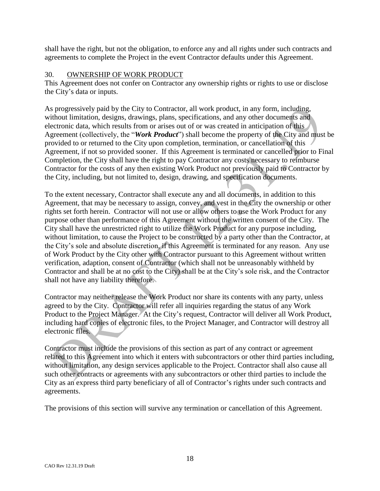shall have the right, but not the obligation, to enforce any and all rights under such contracts and agreements to complete the Project in the event Contractor defaults under this Agreement.

#### 30. OWNERSHIP OF WORK PRODUCT

This Agreement does not confer on Contractor any ownership rights or rights to use or disclose the City's data or inputs.

As progressively paid by the City to Contractor, all work product, in any form, including, without limitation, designs, drawings, plans, specifications, and any other documents and electronic data, which results from or arises out of or was created in anticipation of this Agreement (collectively, the "*Work Product*") shall become the property of the City and must be provided to or returned to the City upon completion, termination, or cancellation of this Agreement, if not so provided sooner. If this Agreement is terminated or cancelled prior to Final Completion, the City shall have the right to pay Contractor any costs necessary to reimburse Contractor for the costs of any then existing Work Product not previously paid to Contractor by the City, including, but not limited to, design, drawing, and specification documents.

To the extent necessary, Contractor shall execute any and all documents, in addition to this Agreement, that may be necessary to assign, convey, and vest in the City the ownership or other rights set forth herein. Contractor will not use or allow others to use the Work Product for any purpose other than performance of this Agreement without the written consent of the City. The City shall have the unrestricted right to utilize the Work Product for any purpose including, without limitation, to cause the Project to be constructed by a party other than the Contractor, at the City's sole and absolute discretion, if this Agreement is terminated for any reason. Any use of Work Product by the City other with Contractor pursuant to this Agreement without written verification, adaption, consent of Contractor (which shall not be unreasonably withheld by Contractor and shall be at no cost to the City) shall be at the City's sole risk, and the Contractor shall not have any liability therefore.

Contractor may neither release the Work Product nor share its contents with any party, unless agreed to by the City. Contractor will refer all inquiries regarding the status of any Work Product to the Project Manager. At the City's request, Contractor will deliver all Work Product, including hard copies of electronic files, to the Project Manager, and Contractor will destroy all electronic files.

Contractor must include the provisions of this section as part of any contract or agreement related to this Agreement into which it enters with subcontractors or other third parties including, without limitation, any design services applicable to the Project. Contractor shall also cause all such other contracts or agreements with any subcontractors or other third parties to include the City as an express third party beneficiary of all of Contractor's rights under such contracts and agreements.

The provisions of this section will survive any termination or cancellation of this Agreement.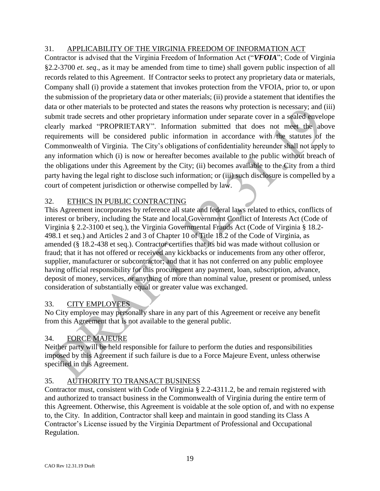# 31. APPLICABILITY OF THE VIRGINIA FREEDOM OF INFORMATION ACT

Contractor is advised that the Virginia Freedom of Information Act ("*VFOIA*"; Code of Virginia §2.2-3700 *et. seq*., as it may be amended from time to time) shall govern public inspection of all records related to this Agreement. If Contractor seeks to protect any proprietary data or materials, Company shall (i) provide a statement that invokes protection from the VFOIA, prior to, or upon the submission of the proprietary data or other materials; (ii) provide a statement that identifies the data or other materials to be protected and states the reasons why protection is necessary; and (iii) submit trade secrets and other proprietary information under separate cover in a sealed envelope clearly marked "PROPRIETARY". Information submitted that does not meet the above requirements will be considered public information in accordance with the statutes of the Commonwealth of Virginia. The City's obligations of confidentiality hereunder shall not apply to any information which (i) is now or hereafter becomes available to the public without breach of the obligations under this Agreement by the City; (ii) becomes available to the City from a third party having the legal right to disclose such information; or (iii) such disclosure is compelled by a court of competent jurisdiction or otherwise compelled by law.

### 32. ETHICS IN PUBLIC CONTRACTING

This Agreement incorporates by reference all state and federal laws related to ethics, conflicts of interest or bribery, including the State and local Government Conflict of Interests Act (Code of Virginia § 2.2-3100 et seq.), the Virginia Governmental Frauds Act (Code of Virginia § 18.2- 498.1 et seq.) and Articles 2 and 3 of Chapter 10 of Title 18.2 of the Code of Virginia, as amended (§ 18.2-438 et seq.). Contractor certifies that its bid was made without collusion or fraud; that it has not offered or received any kickbacks or inducements from any other offeror, supplier, manufacturer or subcontractor; and that it has not conferred on any public employee having official responsibility for this procurement any payment, loan, subscription, advance, deposit of money, services, or anything of more than nominal value, present or promised, unless consideration of substantially equal or greater value was exchanged.

# 33. CITY EMPLOYEES

No City employee may personally share in any part of this Agreement or receive any benefit from this Agreement that is not available to the general public.

### 34. FORCE MAJEURE

Neither party will be held responsible for failure to perform the duties and responsibilities imposed by this Agreement if such failure is due to a Force Majeure Event, unless otherwise specified in this Agreement.

### 35. AUTHORITY TO TRANSACT BUSINESS

Contractor must, consistent with Code of Virginia § 2.2-4311.2, be and remain registered with and authorized to transact business in the Commonwealth of Virginia during the entire term of this Agreement. Otherwise, this Agreement is voidable at the sole option of, and with no expense to, the City. In addition, Contractor shall keep and maintain in good standing its Class A Contractor's License issued by the Virginia Department of Professional and Occupational Regulation.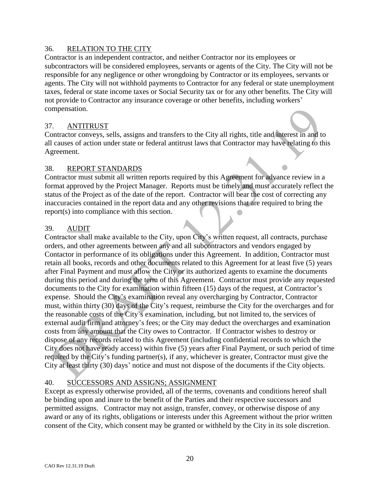#### 36. RELATION TO THE CITY

Contractor is an independent contractor, and neither Contractor nor its employees or subcontractors will be considered employees, servants or agents of the City. The City will not be responsible for any negligence or other wrongdoing by Contractor or its employees, servants or agents. The City will not withhold payments to Contractor for any federal or state unemployment taxes, federal or state income taxes or Social Security tax or for any other benefits. The City will not provide to Contractor any insurance coverage or other benefits, including workers' compensation.

#### 37. ANTITRUST

Contractor conveys, sells, assigns and transfers to the City all rights, title and interest in and to all causes of action under state or federal antitrust laws that Contractor may have relating to this Agreement.

#### 38. REPORT STANDARDS

Contractor must submit all written reports required by this Agreement for advance review in a format approved by the Project Manager. Reports must be timely and must accurately reflect the status of the Project as of the date of the report. Contractor will bear the cost of correcting any inaccuracies contained in the report data and any other revisions that are required to bring the report(s) into compliance with this section.

### 39. AUDIT

Contractor shall make available to the City, upon City's written request, all contracts, purchase orders, and other agreements between any and all subcontractors and vendors engaged by Contactor in performance of its obligations under this Agreement. In addition, Contractor must retain all books, records and other documents related to this Agreement for at least five (5) years after Final Payment and must allow the City or its authorized agents to examine the documents during this period and during the term of this Agreement. Contractor must provide any requested documents to the City for examination within fifteen (15) days of the request, at Contractor's expense. Should the City's examination reveal any overcharging by Contractor, Contractor must, within thirty (30) days of the City's request, reimburse the City for the overcharges and for the reasonable costs of the City's examination, including, but not limited to, the services of external audit firm and attorney's fees; or the City may deduct the overcharges and examination costs from any amount that the City owes to Contractor. If Contractor wishes to destroy or dispose of any records related to this Agreement (including confidential records to which the City does not have ready access) within five (5) years after Final Payment, or such period of time required by the City's funding partner(s), if any, whichever is greater, Contractor must give the City at least thirty (30) days' notice and must not dispose of the documents if the City objects.

### 40. SUCCESSORS AND ASSIGNS; ASSIGNMENT

Except as expressly otherwise provided, all of the terms, covenants and conditions hereof shall be binding upon and inure to the benefit of the Parties and their respective successors and permitted assigns. Contractor may not assign, transfer, convey, or otherwise dispose of any award or any of its rights, obligations or interests under this Agreement without the prior written consent of the City, which consent may be granted or withheld by the City in its sole discretion.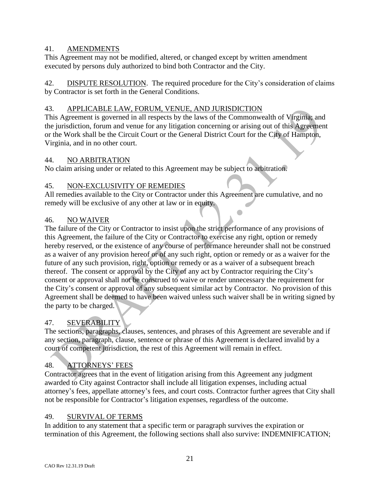### 41. AMENDMENTS

This Agreement may not be modified, altered, or changed except by written amendment executed by persons duly authorized to bind both Contractor and the City.

42. DISPUTE RESOLUTION. The required procedure for the City's consideration of claims by Contractor is set forth in the General Conditions.

## 43. APPLICABLE LAW, FORUM, VENUE, AND JURISDICTION

This Agreement is governed in all respects by the laws of the Commonwealth of Virginia; and the jurisdiction, forum and venue for any litigation concerning or arising out of this Agreement or the Work shall be the Circuit Court or the General District Court for the City of Hampton, Virginia, and in no other court.

### 44. NO ARBITRATION

No claim arising under or related to this Agreement may be subject to arbitration.

# 45. NON-EXCLUSIVITY OF REMEDIES

All remedies available to the City or Contractor under this Agreement are cumulative, and no remedy will be exclusive of any other at law or in equity.

### 46. NO WAIVER

The failure of the City or Contractor to insist upon the strict performance of any provisions of this Agreement, the failure of the City or Contractor to exercise any right, option or remedy hereby reserved, or the existence of any course of performance hereunder shall not be construed as a waiver of any provision hereof or of any such right, option or remedy or as a waiver for the future of any such provision, right, option or remedy or as a waiver of a subsequent breach thereof. The consent or approval by the City of any act by Contractor requiring the City's consent or approval shall not be construed to waive or render unnecessary the requirement for the City's consent or approval of any subsequent similar act by Contractor. No provision of this Agreement shall be deemed to have been waived unless such waiver shall be in writing signed by the party to be charged.

# 47. SEVERABILITY

The sections, paragraphs, clauses, sentences, and phrases of this Agreement are severable and if any section, paragraph, clause, sentence or phrase of this Agreement is declared invalid by a court of competent jurisdiction, the rest of this Agreement will remain in effect.

# 48. ATTORNEYS' FEES

Contractor agrees that in the event of litigation arising from this Agreement any judgment awarded to City against Contractor shall include all litigation expenses, including actual attorney's fees, appellate attorney's fees, and court costs. Contractor further agrees that City shall not be responsible for Contractor's litigation expenses, regardless of the outcome.

### 49. SURVIVAL OF TERMS

In addition to any statement that a specific term or paragraph survives the expiration or termination of this Agreement, the following sections shall also survive: INDEMNIFICATION;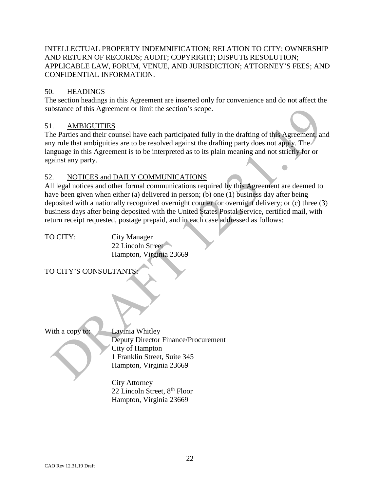### INTELLECTUAL PROPERTY INDEMNIFICATION; RELATION TO CITY; OWNERSHIP AND RETURN OF RECORDS; AUDIT; COPYRIGHT; DISPUTE RESOLUTION; APPLICABLE LAW, FORUM, VENUE, AND JURISDICTION; ATTORNEY'S FEES; AND CONFIDENTIAL INFORMATION.

### 50. HEADINGS

The section headings in this Agreement are inserted only for convenience and do not affect the substance of this Agreement or limit the section's scope.

### 51. AMBIGUITIES

The Parties and their counsel have each participated fully in the drafting of this Agreement, and any rule that ambiguities are to be resolved against the drafting party does not apply. The language in this Agreement is to be interpreted as to its plain meaning and not strictly for or against any party.

### 52. NOTICES and DAILY COMMUNICATIONS

All legal notices and other formal communications required by this Agreement are deemed to have been given when either (a) delivered in person; (b) one (1) business day after being deposited with a nationally recognized overnight courier for overnight delivery; or (c) three (3) business days after being deposited with the United States Postal Service, certified mail, with return receipt requested, postage prepaid, and in each case addressed as follows:

TO CITY: City Manager 22 Lincoln Street Hampton, Virginia 23669

TO CITY'S CONSULTANTS:

With a copy to: Lavinia Whitley

Deputy Director Finance/Procurement City of Hampton 1 Franklin Street, Suite 345 Hampton, Virginia 23669

City Attorney 22 Lincoln Street, 8<sup>th</sup> Floor Hampton, Virginia 23669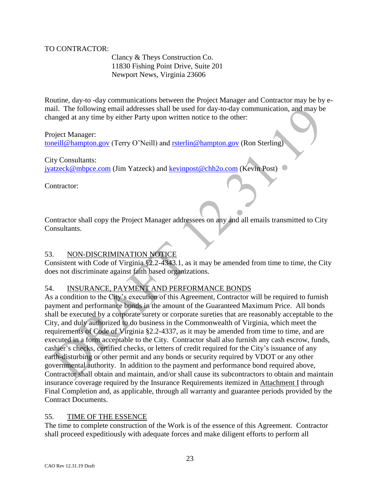#### TO CONTRACTOR:

Clancy & Theys Construction Co. 11830 Fishing Point Drive, Suite 201 Newport News, Virginia 23606

Routine, day-to -day communications between the Project Manager and Contractor may be by email. The following email addresses shall be used for day-to-day communication, and may be changed at any time by either Party upon written notice to the other:

Project Manager: [toneill@hampton.gov](mailto:toneill@hampton.gov) (Terry O'Neill) and [rsterlin@hampton.gov](mailto:rsterlin@hampton.gov) (Ron Sterling)

City Consultants: [jyatzeck@mbpce.com](mailto:jyatzeck@mbpce.com) (Jim Yatzeck) and [kevinpost@chh2o.com](mailto:kevinpost@chh2o.com) (Kevin Post)

Contractor:

Contractor shall copy the Project Manager addressees on any and all emails transmitted to City Consultants.

# 53. NON-DISCRIMINATION NOTICE

Consistent with Code of Virginia §2.2-4343.1, as it may be amended from time to time, the City does not discriminate against faith based organizations.

# 54. INSURANCE, PAYMENT AND PERFORMANCE BONDS

As a condition to the City's execution of this Agreement, Contractor will be required to furnish payment and performance bonds in the amount of the Guaranteed Maximum Price. All bonds shall be executed by a corporate surety or corporate sureties that are reasonably acceptable to the City, and duly authorized to do business in the Commonwealth of Virginia, which meet the requirements of Code of Virginia §2.2-4337, as it may be amended from time to time, and are executed in a form acceptable to the City. Contractor shall also furnish any cash escrow, funds, cashier's checks, certified checks, or letters of credit required for the City's issuance of any earth-disturbing or other permit and any bonds or security required by VDOT or any other governmental authority. In addition to the payment and performance bond required above, Contractor shall obtain and maintain, and/or shall cause its subcontractors to obtain and maintain insurance coverage required by the Insurance Requirements itemized in Attachment I through Final Completion and, as applicable, through all warranty and guarantee periods provided by the Contract Documents.

### 55. TIME OF THE ESSENCE

The time to complete construction of the Work is of the essence of this Agreement. Contractor shall proceed expeditiously with adequate forces and make diligent efforts to perform all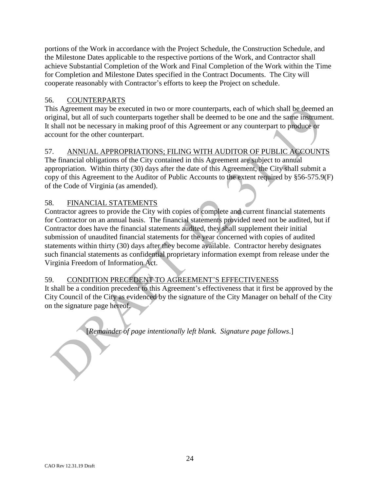portions of the Work in accordance with the Project Schedule, the Construction Schedule, and the Milestone Dates applicable to the respective portions of the Work, and Contractor shall achieve Substantial Completion of the Work and Final Completion of the Work within the Time for Completion and Milestone Dates specified in the Contract Documents. The City will cooperate reasonably with Contractor's efforts to keep the Project on schedule.

### 56. COUNTERPARTS

This Agreement may be executed in two or more counterparts, each of which shall be deemed an original, but all of such counterparts together shall be deemed to be one and the same instrument. It shall not be necessary in making proof of this Agreement or any counterpart to produce or account for the other counterpart.

# 57. ANNUAL APPROPRIATIONS; FILING WITH AUDITOR OF PUBLIC ACCOUNTS

The financial obligations of the City contained in this Agreement are subject to annual appropriation. Within thirty (30) days after the date of this Agreement, the City shall submit a copy of this Agreement to the Auditor of Public Accounts to the extent required by §56-575.9(F) of the Code of Virginia (as amended).

### 58. FINANCIAL STATEMENTS

Contractor agrees to provide the City with copies of complete and current financial statements for Contractor on an annual basis. The financial statements provided need not be audited, but if Contractor does have the financial statements audited, they shall supplement their initial submission of unaudited financial statements for the year concerned with copies of audited statements within thirty (30) days after they become available. Contractor hereby designates such financial statements as confidential proprietary information exempt from release under the Virginia Freedom of Information Act.

# 59. CONDITION PRECEDENT TO AGREEMENT'S EFFECTIVENESS

It shall be a condition precedent to this Agreement's effectiveness that it first be approved by the City Council of the City as evidenced by the signature of the City Manager on behalf of the City on the signature page hereof.

[*Remainder of page intentionally left blank. Signature page follows*.]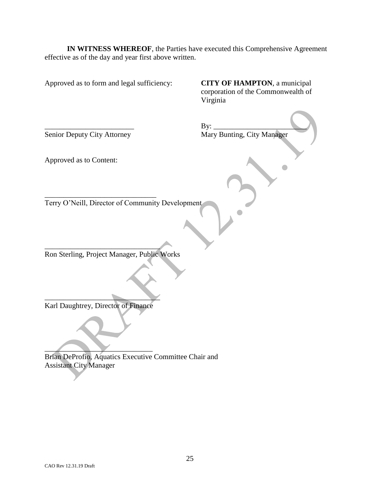**IN WITNESS WHEREOF**, the Parties have executed this Comprehensive Agreement effective as of the day and year first above written.

Approved as to form and legal sufficiency: **CITY OF HAMPTON**, a municipal

corporation of the Commonwealth of Virginia

\_\_\_\_\_\_\_\_\_\_\_\_\_\_\_\_\_\_\_\_\_\_\_\_ By: \_\_\_\_\_\_\_\_\_\_\_\_\_\_\_\_\_\_\_\_\_\_\_\_\_ Senior Deputy City Attorney Mary Bunting, City Manager

Approved as to Content:

Terry O'Neill, Director of Community Development

\_\_\_\_\_\_\_\_\_\_\_\_\_\_\_\_\_\_\_\_\_\_\_\_\_\_\_\_\_\_\_ Ron Sterling, Project Manager, Public Works

 $\qquad \qquad \qquad$ Karl Daughtrey, Director of Finance

\_\_\_\_\_\_\_\_\_\_\_\_\_\_\_\_\_\_\_\_\_\_\_\_\_\_\_\_\_\_

 $\overline{\phantom{a}}$ Brian DeProfio, Aquatics Executive Committee Chair and Assistant City Manager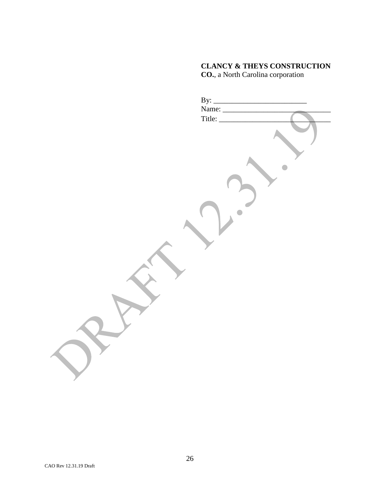# **CLANCY & THEYS CONSTRUCTION CO.**, a North Carolina corporation

| By: $\frac{\text{By:}\qquad \qquad \text{Name:} \qquad \qquad }{\text{Name:} \qquad \qquad \text{True}}$ |
|----------------------------------------------------------------------------------------------------------|
| Title:                                                                                                   |
|                                                                                                          |
|                                                                                                          |
|                                                                                                          |
|                                                                                                          |
|                                                                                                          |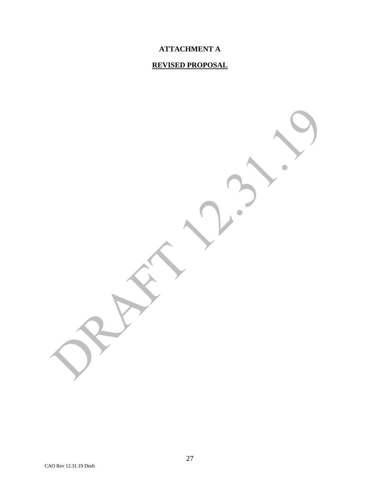# **ATTACHMENT A**

# **REVISED PROPOSAL**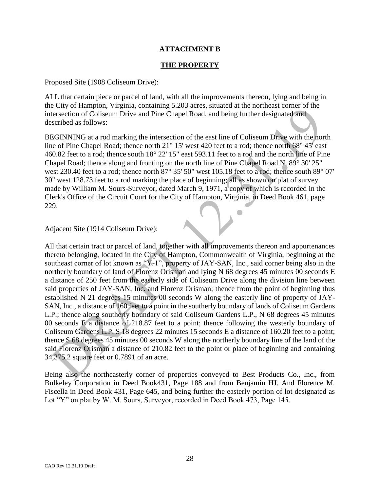### **ATTACHMENT B**

#### **THE PROPERTY**

Proposed Site (1908 Coliseum Drive):

ALL that certain piece or parcel of land, with all the improvements thereon, lying and being in the City of Hampton, Virginia, containing 5.203 acres, situated at the northeast corner of the intersection of Coliseum Drive and Pine Chapel Road, and being further designated and described as follows:

BEGINNING at a rod marking the intersection of the east line of Coliseum Drive with the north line of Pine Chapel Road; thence north 21° 15' west 420 feet to a rod; thence north 68° 45' east 460.82 feet to a rod; thence south 18° 22' 15" east 593.11 feet to a rod and the north line of Pine Chapel Road; thence along and fronting on the north line of Pine Chapel Road N. 89° 30' 25" west 230.40 feet to a rod; thence north 87° 35' 50" west 105.18 feet to a rod; thence south 89° 07' 30" west 128.73 feet to a rod marking the place of beginning; all as shown on plat of survey made by William M. Sours-Surveyor, dated March 9, 1971, a copy of which is recorded in the Clerk's Office of the Circuit Court for the City of Hampton, Virginia, in Deed Book 461, page 229.

 $\Box$ 

#### Adjacent Site (1914 Coliseum Drive):

All that certain tract or parcel of land, together with all improvements thereon and appurtenances thereto belonging, located in the City of Hampton, Commonwealth of Virginia, beginning at the southeast corner of lot known as "Y-1", property of JAY-SAN, Inc., said corner being also in the northerly boundary of land of Florenz Orisman and lying N 68 degrees 45 minutes 00 seconds E a distance of 250 feet from the easterly side of Coliseum Drive along the division line between said properties of JAY-SAN, Inc. and Florenz Orisman; thence from the point of beginning thus established N 21 degrees 15 minutes 00 seconds W along the easterly line of property of JAY-SAN, Inc., a distance of 160 feet to a point in the southerly boundary of lands of Coliseum Gardens L.P.; thence along southerly boundary of said Coliseum Gardens L.P., N 68 degrees 45 minutes 00 seconds E a distance of 218.87 feet to a point; thence following the westerly boundary of Coliseum Gardens L.P. S 18 degrees 22 minutes 15 seconds E a distance of 160.20 feet to a point; thence S 68 degrees 45 minutes 00 seconds W along the northerly boundary line of the land of the said Florenz Orisman a distance of 210.82 feet to the point or place of beginning and containing 34,375.2 square feet or 0.7891 of an acre.

Being also the northeasterly corner of properties conveyed to Best Products Co., Inc., from Bulkeley Corporation in Deed Book431, Page 188 and from Benjamin HJ. And Florence M. Fiscella in Deed Book 431, Page 645, and being further the easterly portion of lot designated as Lot "Y" on plat by W. M. Sours, Surveyor, recorded in Deed Book 473, Page 145.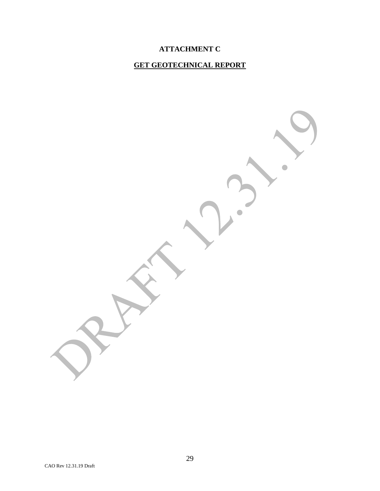# **ATTACHMENT C**

# **GET GEOTECHNICAL REPORT**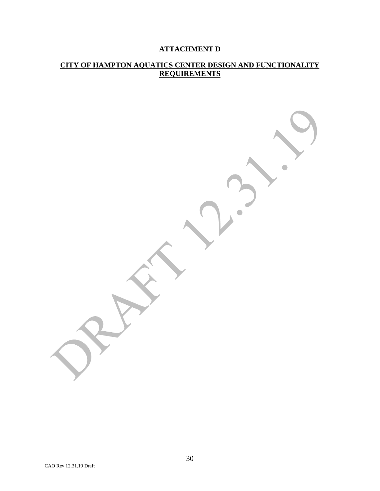# **ATTACHMENT D**

### **CITY OF HAMPTON AQUATICS CENTER DESIGN AND FUNCTIONALITY REQUIREMENTS**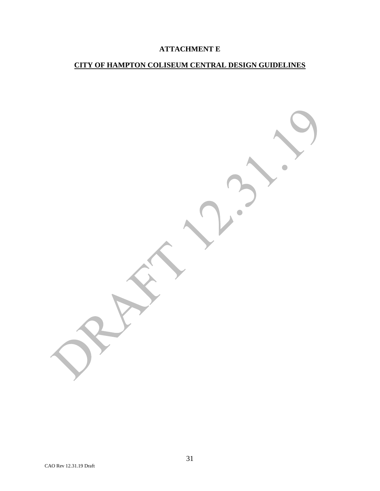# **ATTACHMENT E**

# **CITY OF HAMPTON COLISEUM CENTRAL DESIGN GUIDELINES**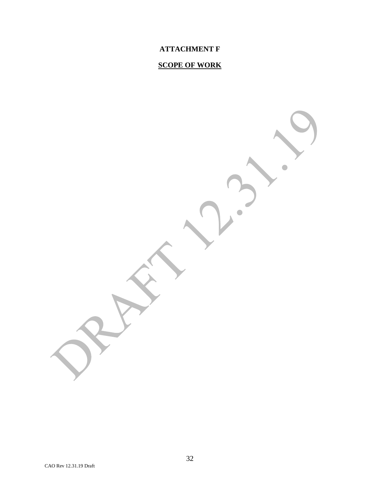# **ATTACHMENT F**

# **SCOPE OF WORK**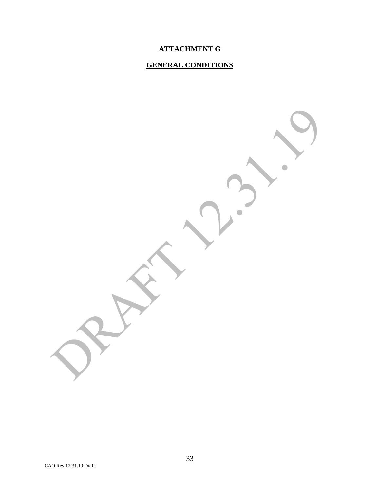# **ATTACHMENT G**

# **GENERAL CONDITIONS**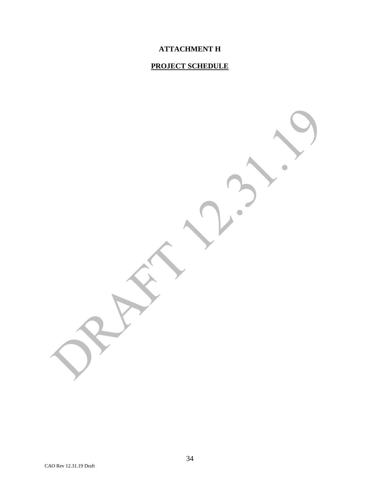# **ATTACHMENT H**

# **PROJECT SCHEDULE**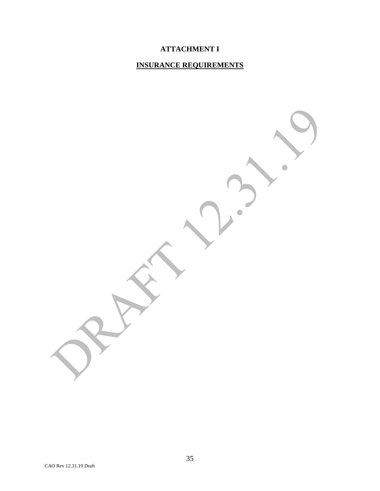# **ATTACHMENT I**

# **INSURANCE REQUIREMENTS**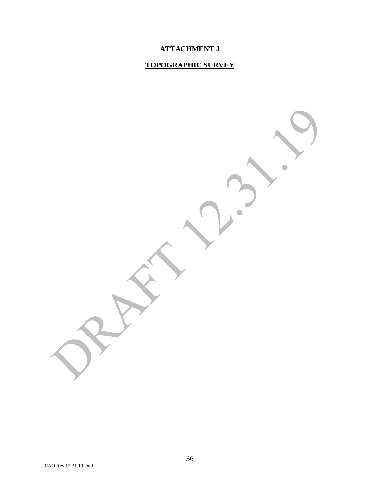# **ATTACHMENT J**

# **TOPOGRAPHIC SURVEY**